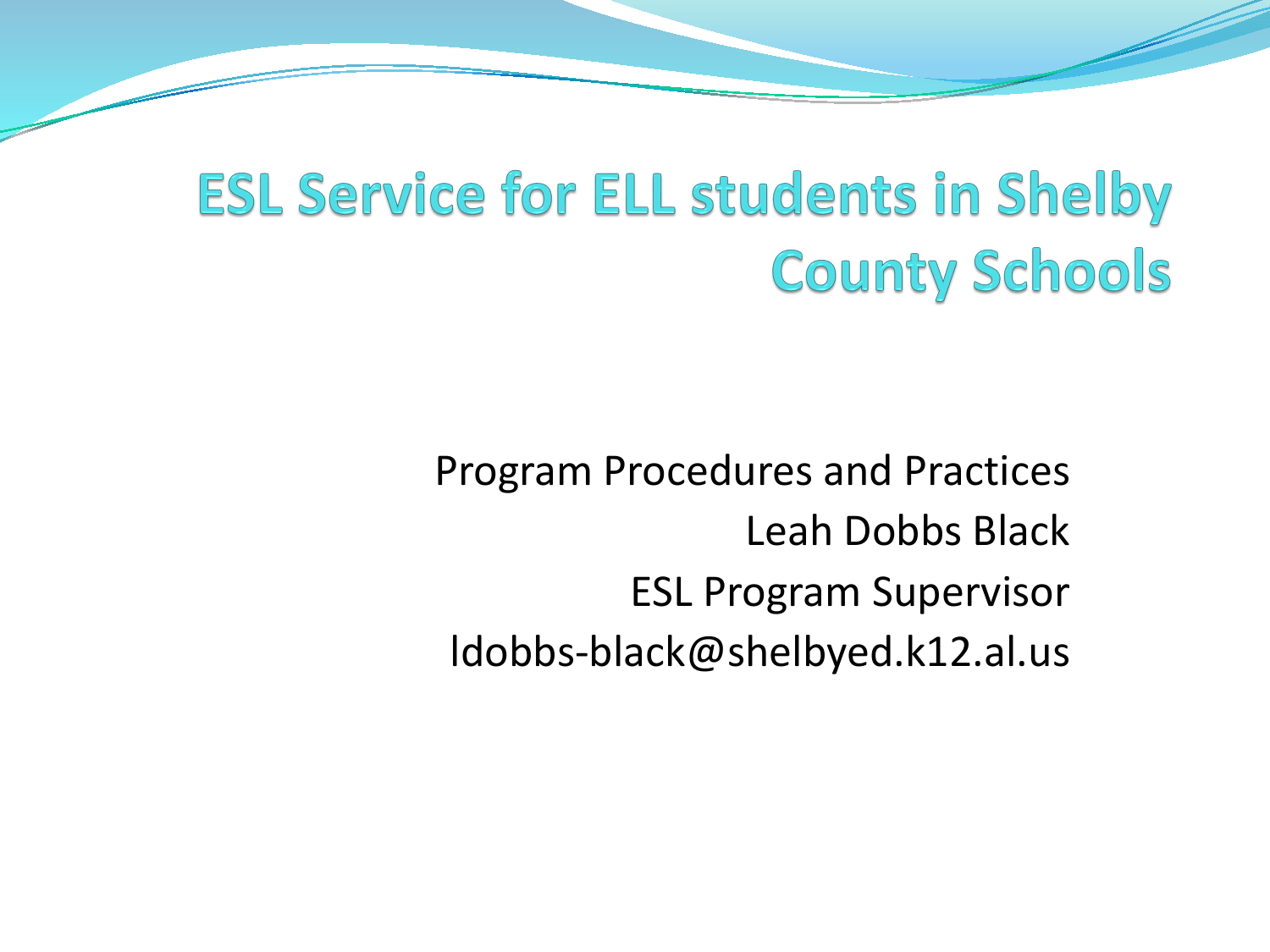#### **ESL Service for ELL students in Shelby County Schools**

Program Procedures and Practices Leah Dobbs Black ESL Program Supervisor ldobbs-black@shelbyed.k12.al.us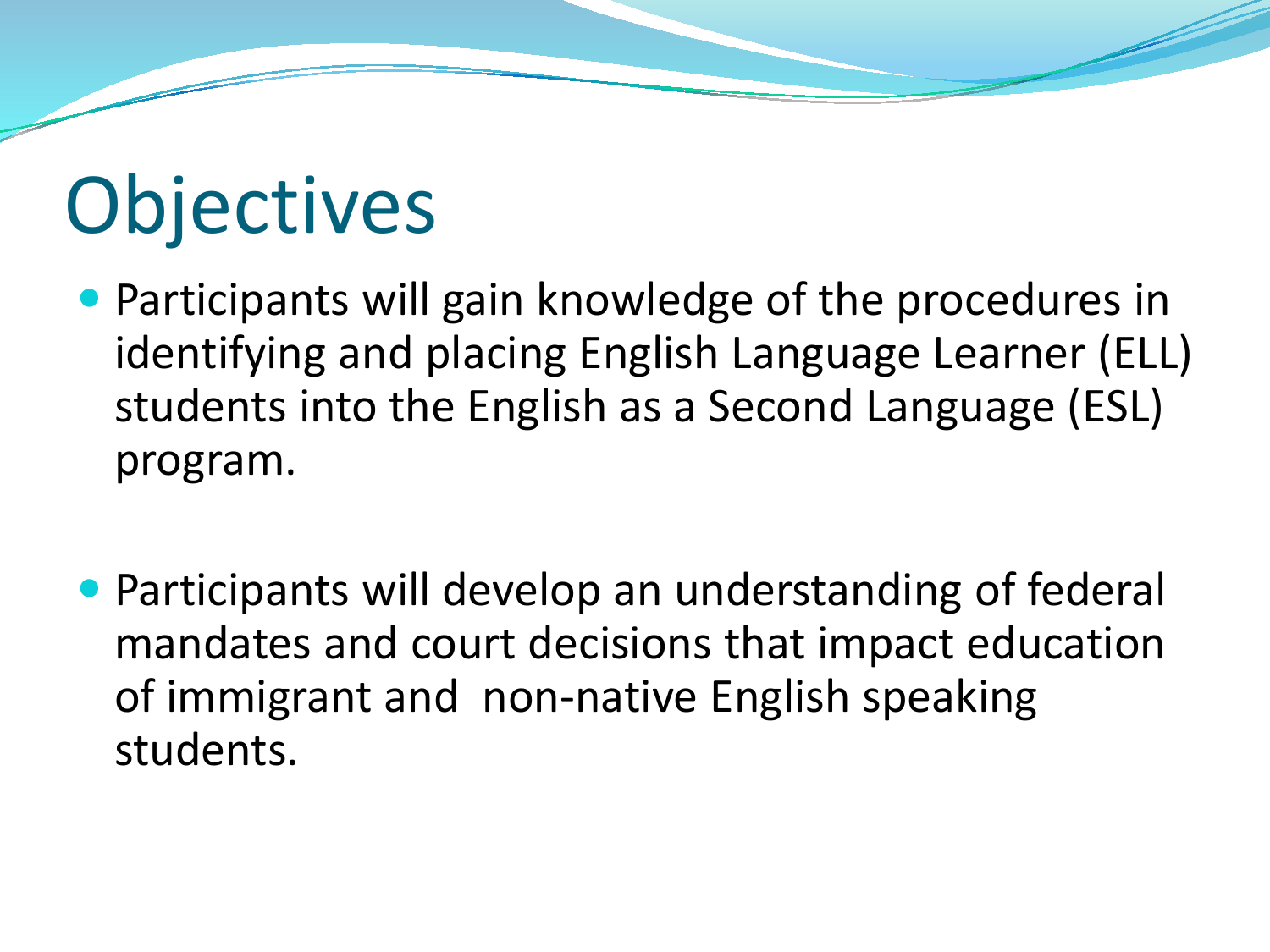# **Objectives**

- Participants will gain knowledge of the procedures in identifying and placing English Language Learner (ELL) students into the English as a Second Language (ESL) program.
- Participants will develop an understanding of federal mandates and court decisions that impact education of immigrant and non-native English speaking students.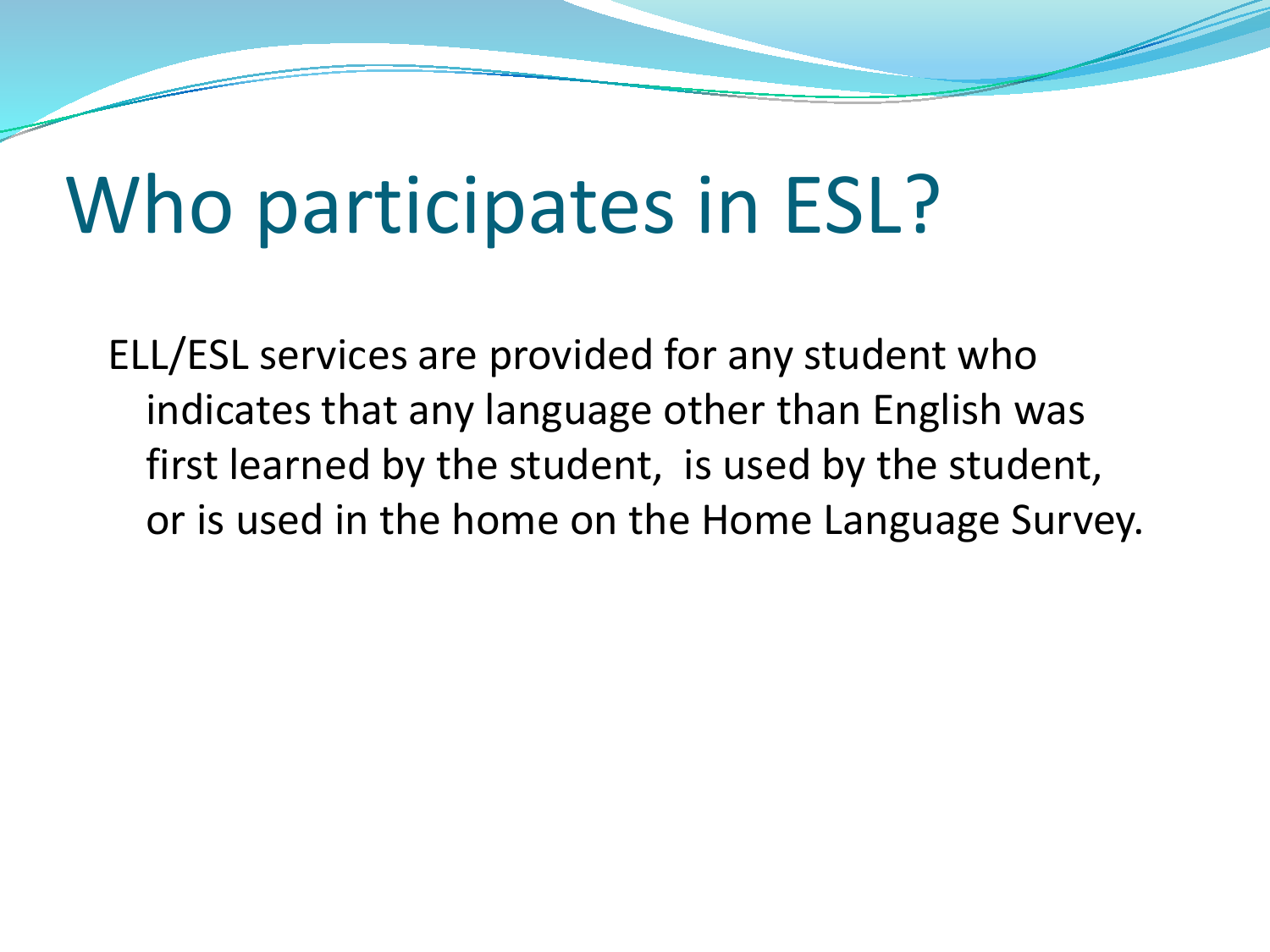## Who participates in ESL?

ELL/ESL services are provided for any student who indicates that any language other than English was first learned by the student, is used by the student, or is used in the home on the Home Language Survey.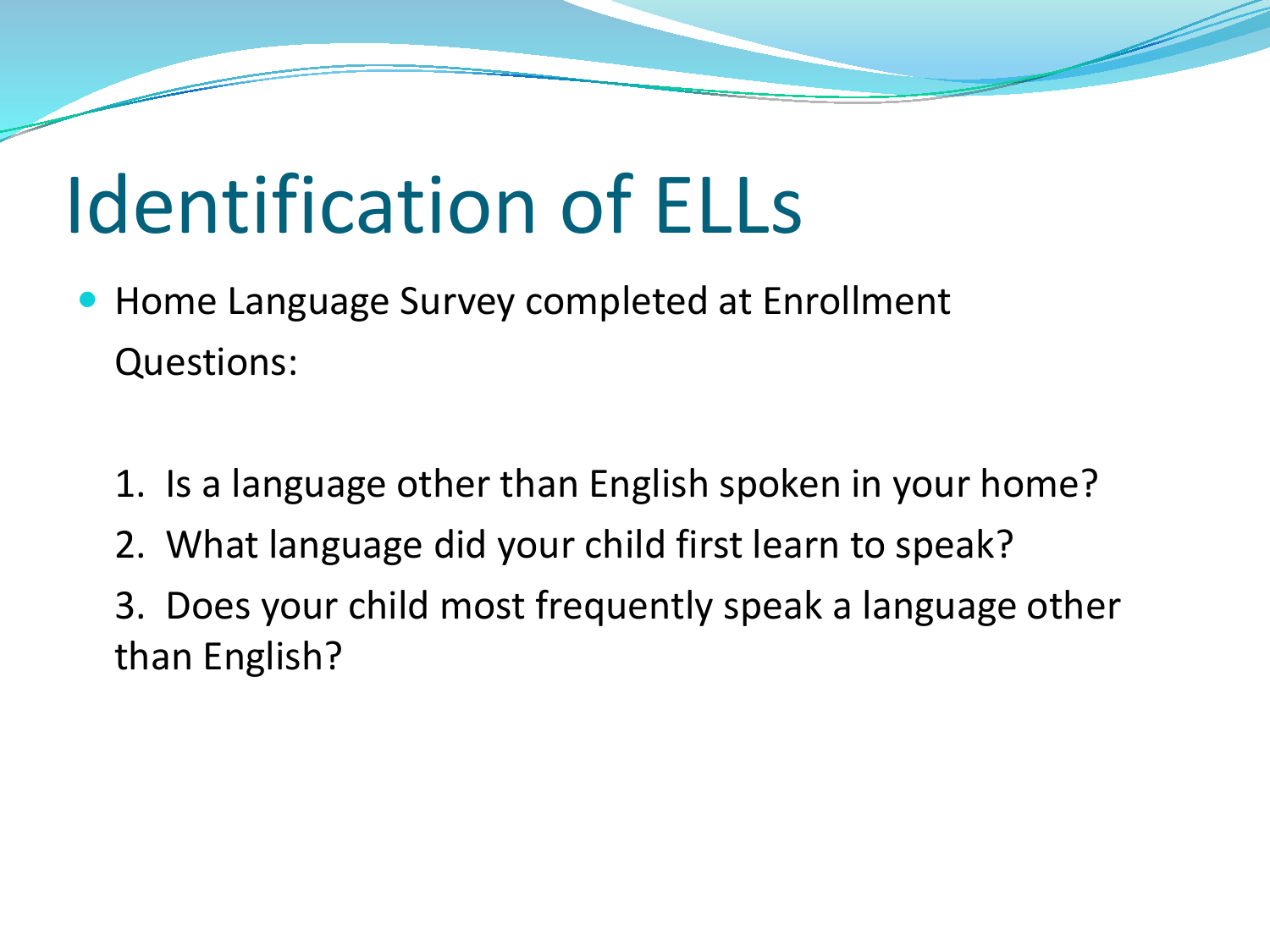# Identification of ELLs

- Home Language Survey completed at Enrollment Questions:
	- 1. Is a language other than English spoken in your home?
	- 2. What language did your child first learn to speak?
	- 3. Does your child most frequently speak a language other than English?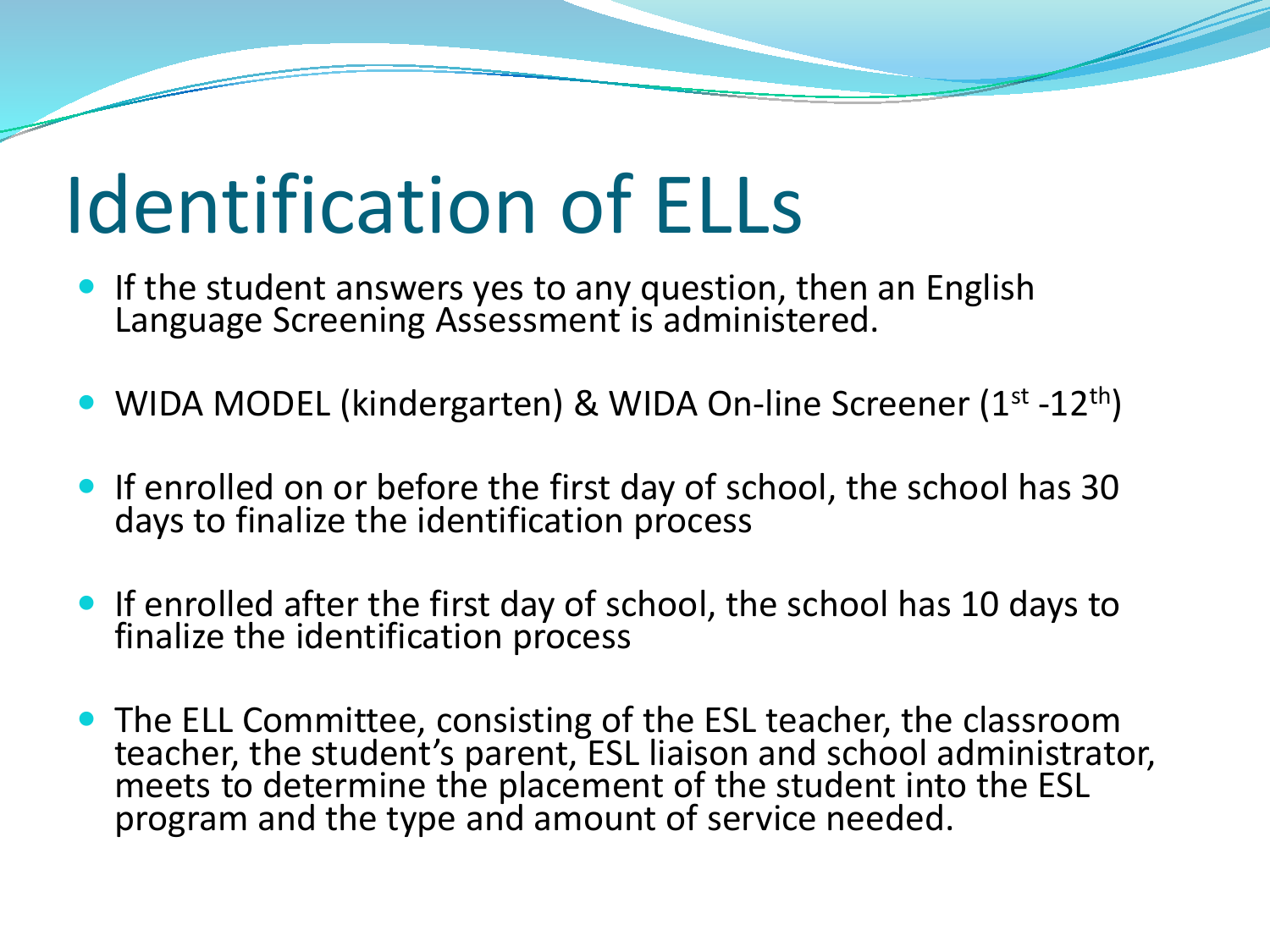# Identification of ELLs

- **If the student answers yes to any question, then an English** Language Screening Assessment is administered.
- WIDA MODEL (kindergarten) & WIDA On-line Screener (1<sup>st</sup> -12<sup>th</sup>)
- If enrolled on or before the first day of school, the school has 30 days to finalize the identification process
- If enrolled after the first day of school, the school has 10 days to finalize the identification process
- The ELL Committee, consisting of the ESL teacher, the classroom teacher, the student's parent, ESL liaison and school administrator, meets to determine the placement of the student into the ESL program and the type and amount of service needed.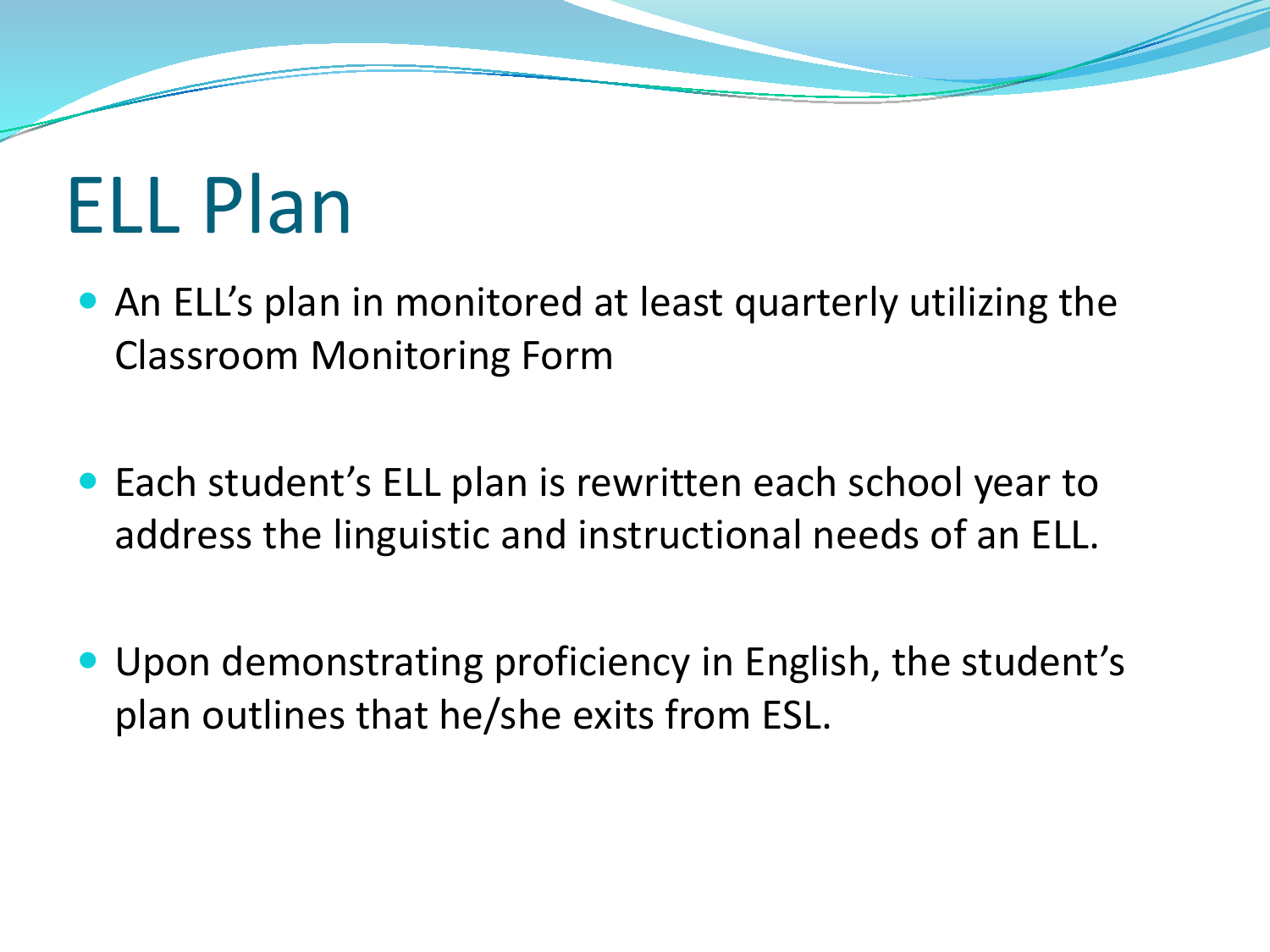# ELL Plan

- An ELL's plan in monitored at least quarterly utilizing the Classroom Monitoring Form
- Each student's ELL plan is rewritten each school year to address the linguistic and instructional needs of an ELL.
- Upon demonstrating proficiency in English, the student's plan outlines that he/she exits from ESL.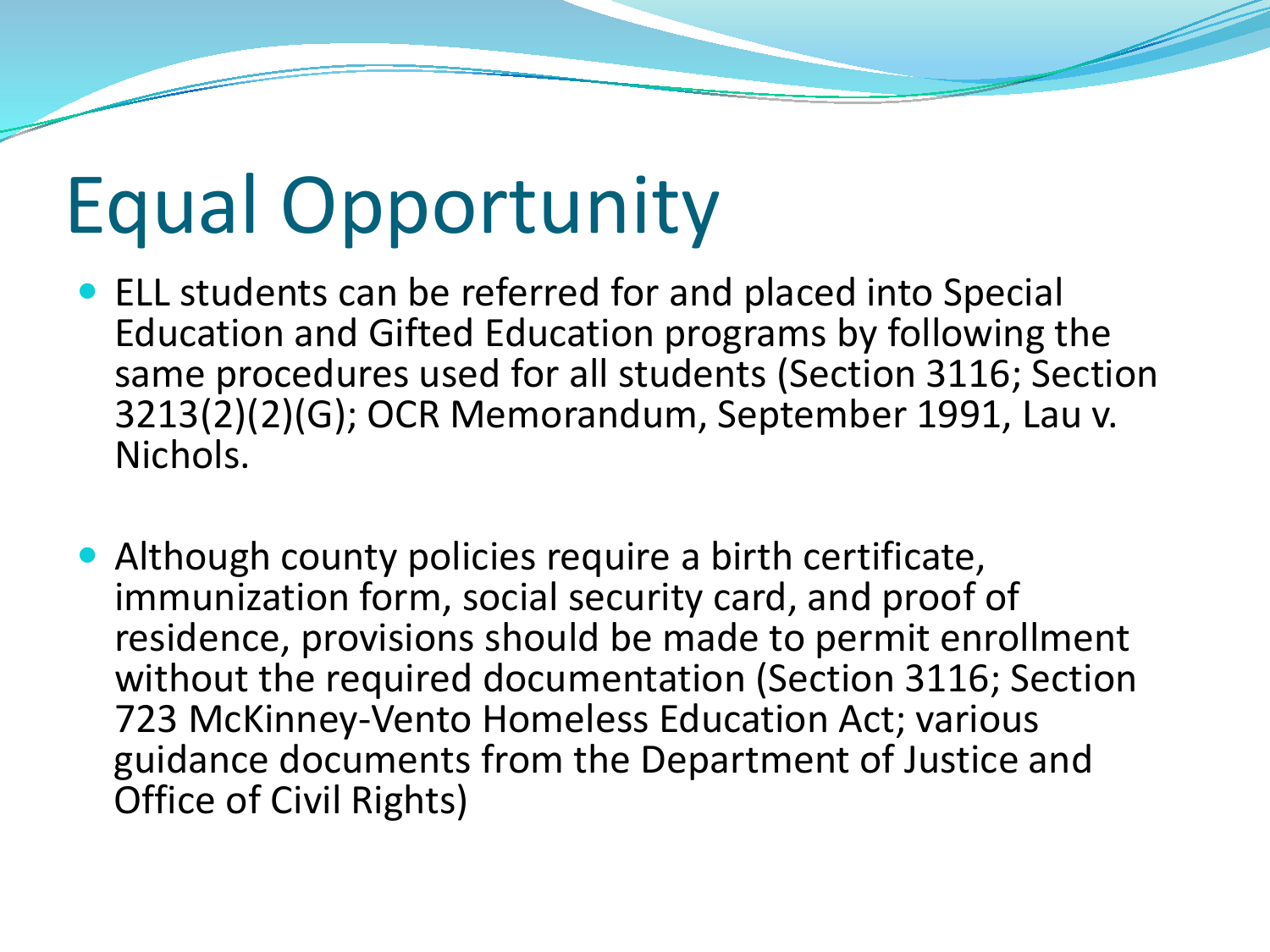# Equal Opportunity

- ELL students can be referred for and placed into Special Education and Gifted Education programs by following the same procedures used for all students (Section 3116; Section 3213(2)(2)(G); OCR Memorandum, September 1991, Lau v. Nichols.
- Although county policies require a birth certificate, immunization form, social security card, and proof of residence, provisions should be made to permit enrollment without the required documentation (Section 3116; Section 723 McKinney-Vento Homeless Education Act; various guidance documents from the Department of Justice and Office of Civil Rights)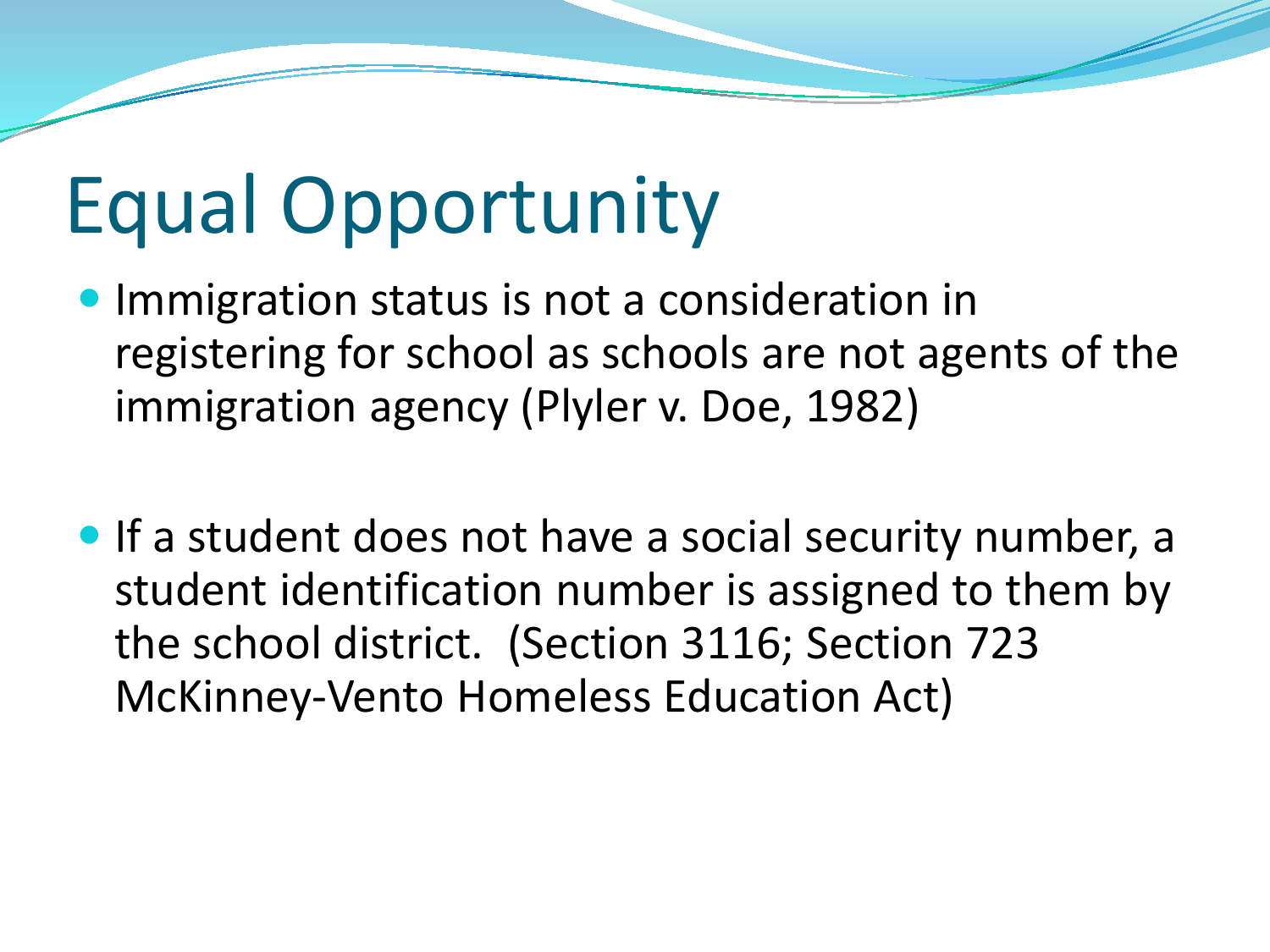# Equal Opportunity

- **Immigration status is not a consideration in** registering for school as schools are not agents of the immigration agency (Plyler v. Doe, 1982)
- If a student does not have a social security number, a student identification number is assigned to them by the school district. (Section 3116; Section 723 McKinney-Vento Homeless Education Act)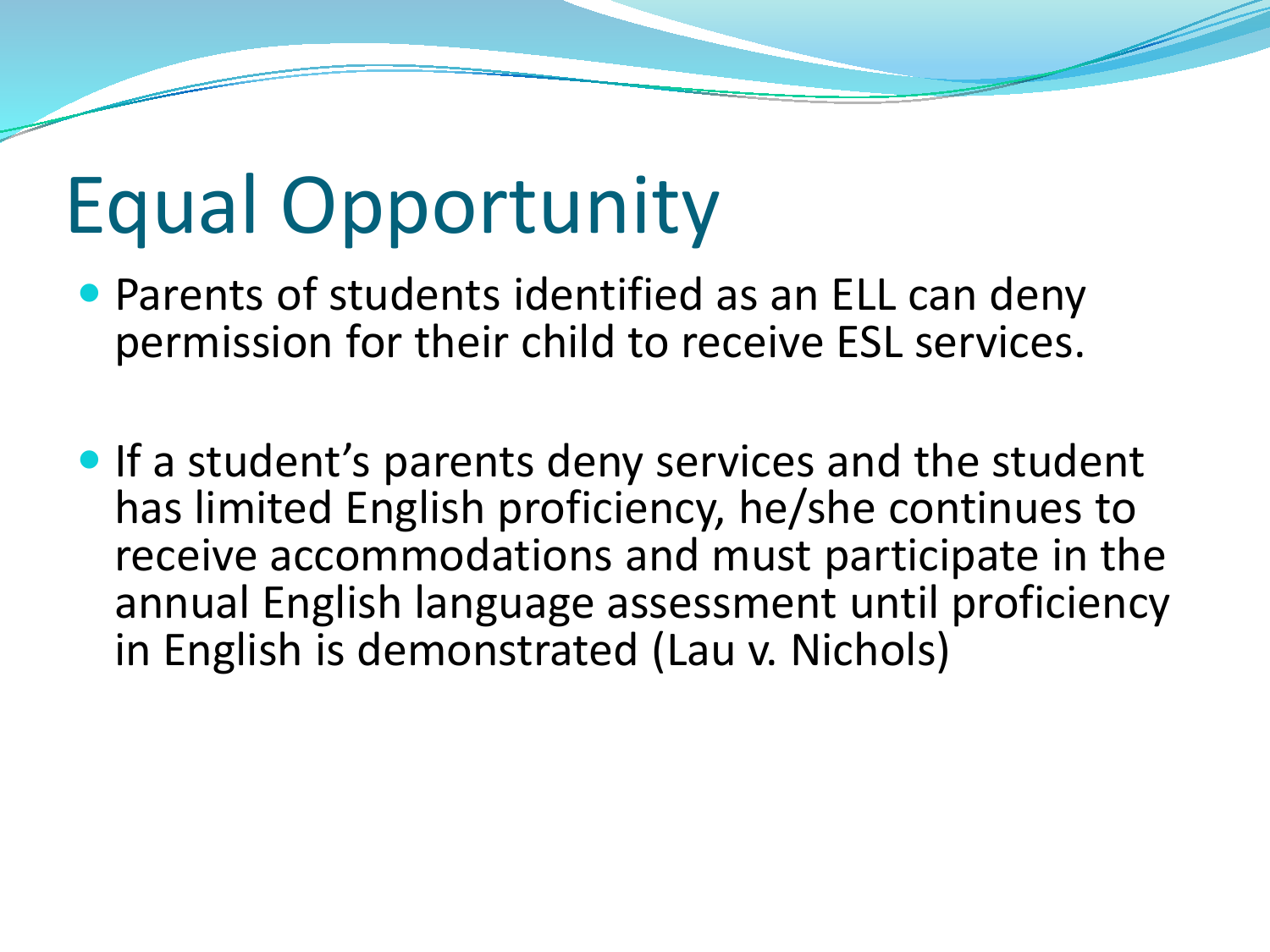### Equal Opportunity

- Parents of students identified as an ELL can deny permission for their child to receive ESL services.
- **If a student's parents deny services and the student** has limited English proficiency, he/she continues to receive accommodations and must participate in the annual English language assessment until proficiency in English is demonstrated (Lau v. Nichols)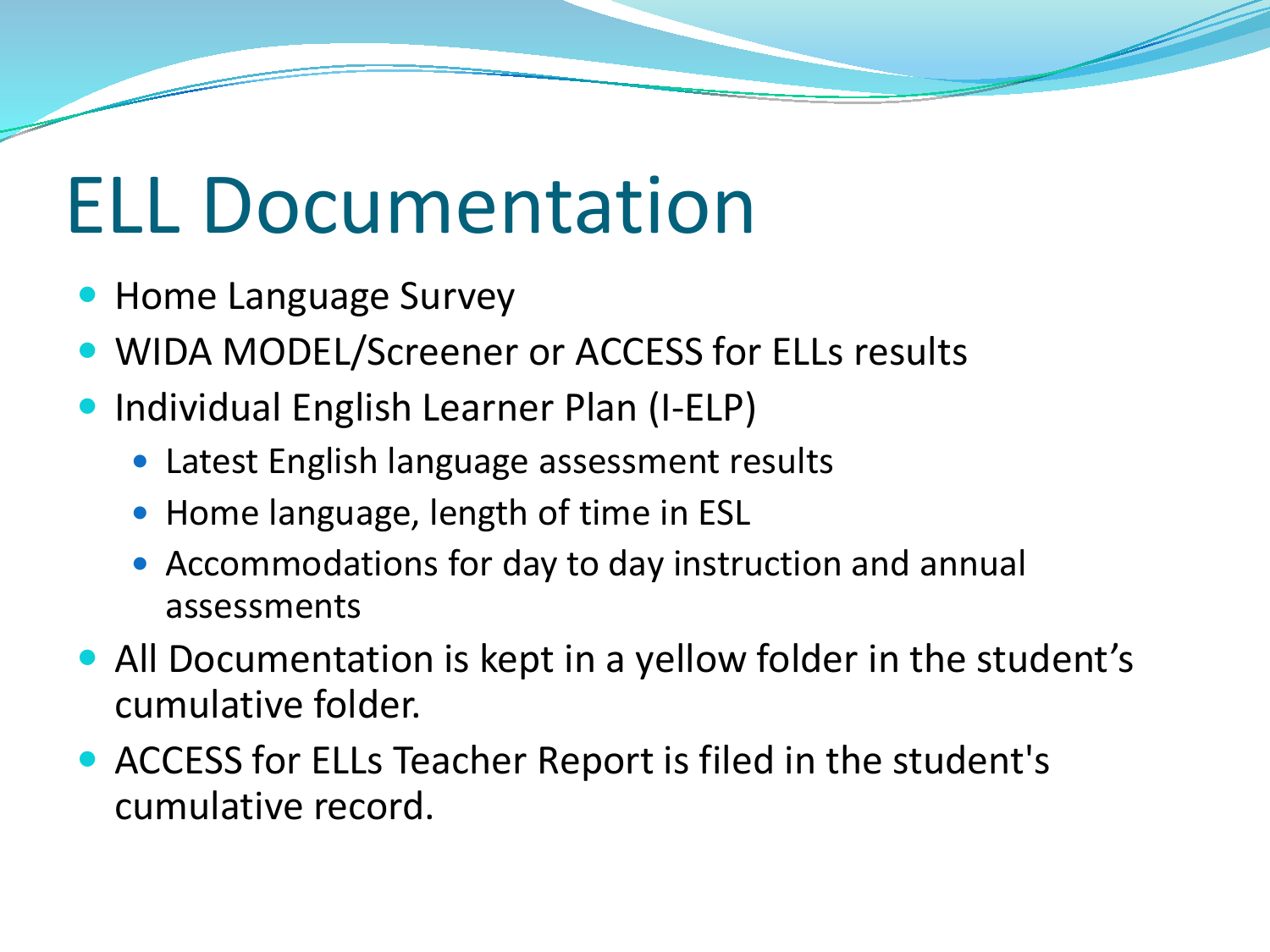## ELL Documentation

- Home Language Survey
- WIDA MODEL/Screener or ACCESS for ELLs results
- Individual English Learner Plan (I-ELP)
	- Latest English language assessment results
	- Home language, length of time in ESL
	- Accommodations for day to day instruction and annual assessments
- All Documentation is kept in a yellow folder in the student's cumulative folder.
- ACCESS for ELLs Teacher Report is filed in the student's cumulative record.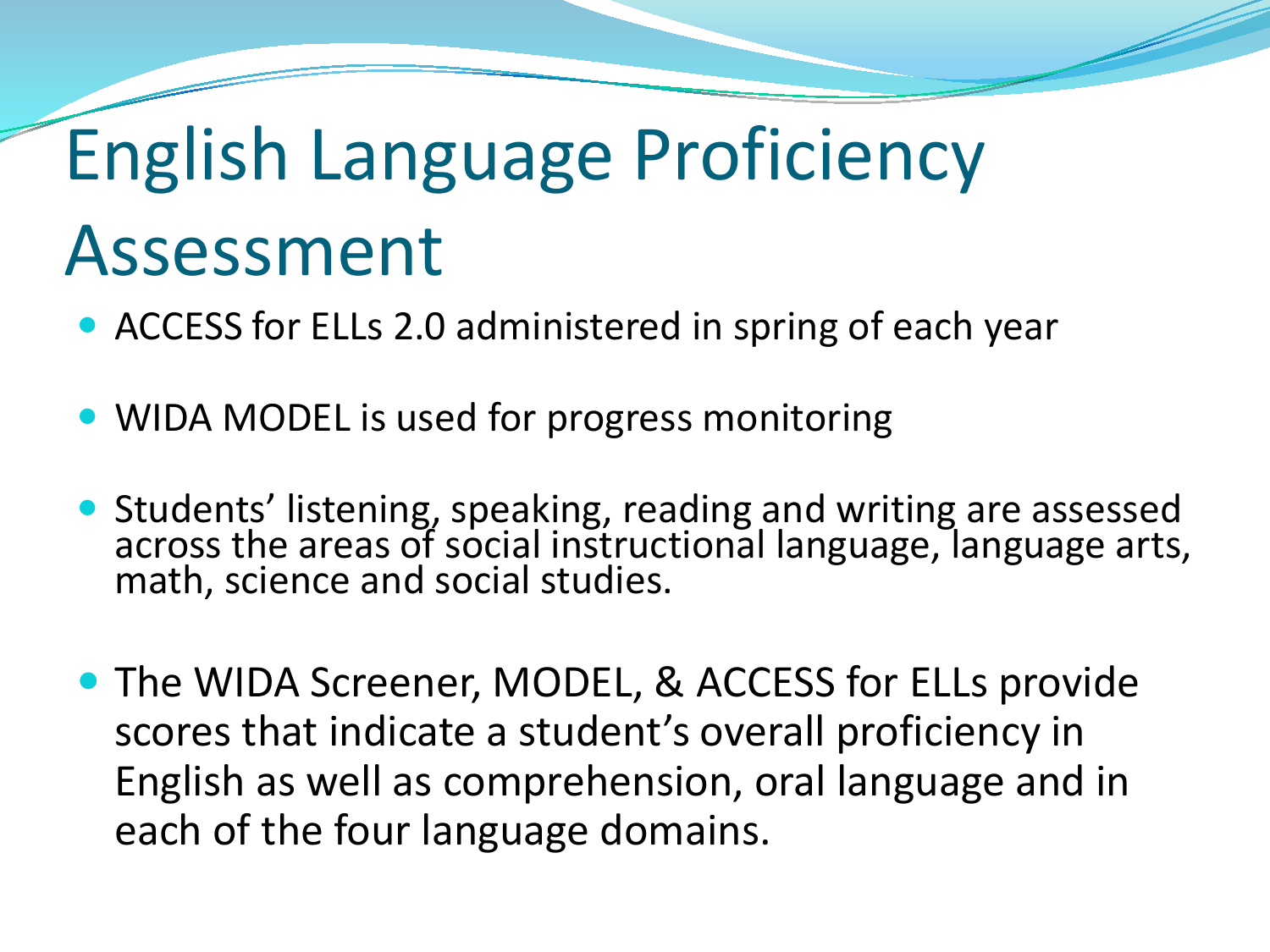## English Language Proficiency Assessment

- ACCESS for ELLs 2.0 administered in spring of each year
- WIDA MODEL is used for progress monitoring
- Students' listening, speaking, reading and writing are assessed across the areas of social instructional language, language arts, math, science and social studies.
- The WIDA Screener, MODEL, & ACCESS for ELLs provide scores that indicate a student's overall proficiency in English as well as comprehension, oral language and in each of the four language domains.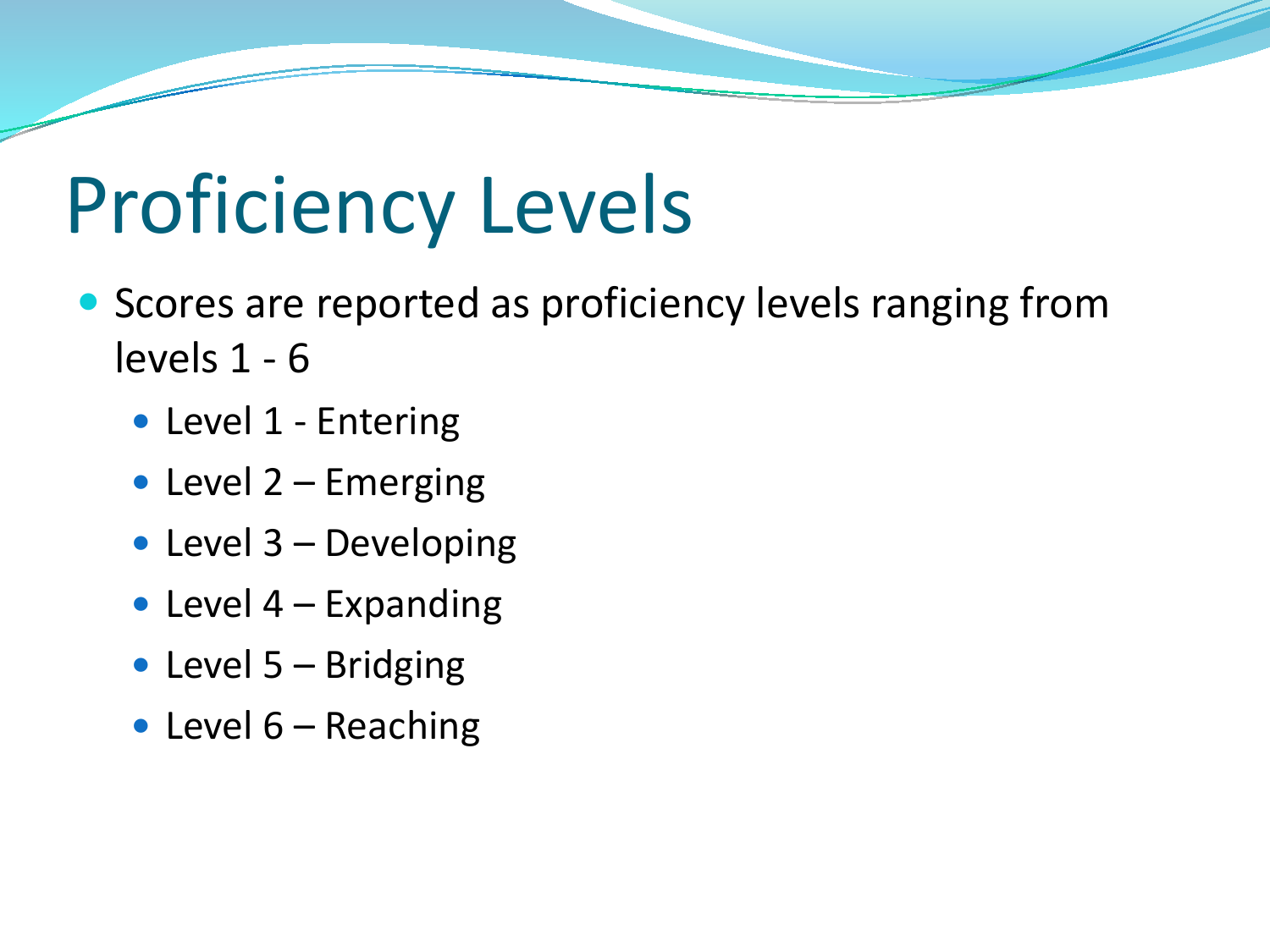# Proficiency Levels

- Scores are reported as proficiency levels ranging from levels 1 - 6
	- Level 1 Entering
	- Level  $2$  Emerging
	- Level 3 Developing
	- Level  $4$  Expanding
	- Level 5 Bridging
	- Level  $6$  Reaching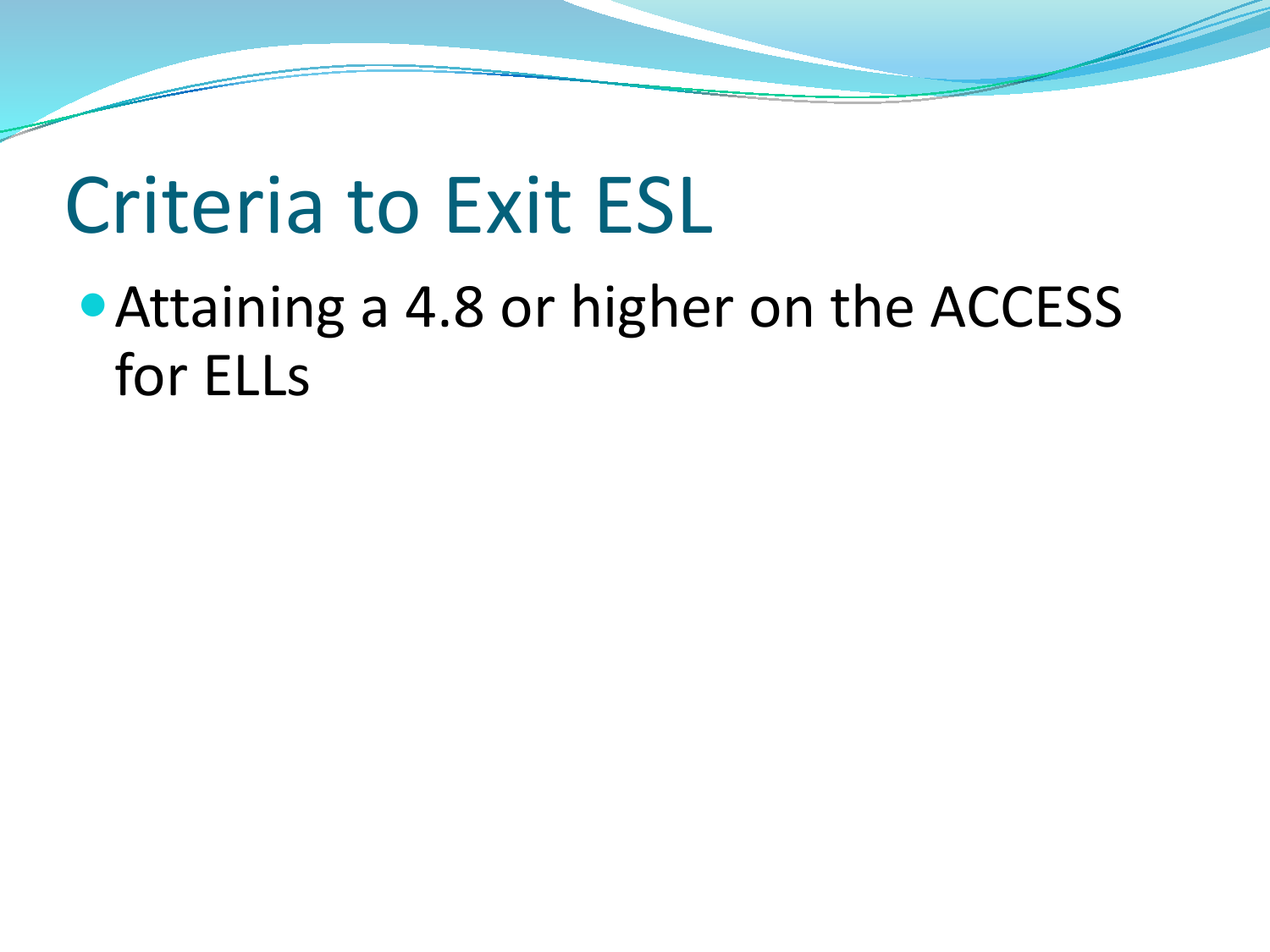#### Criteria to Exit ESL

Attaining a 4.8 or higher on the ACCESS for ELLs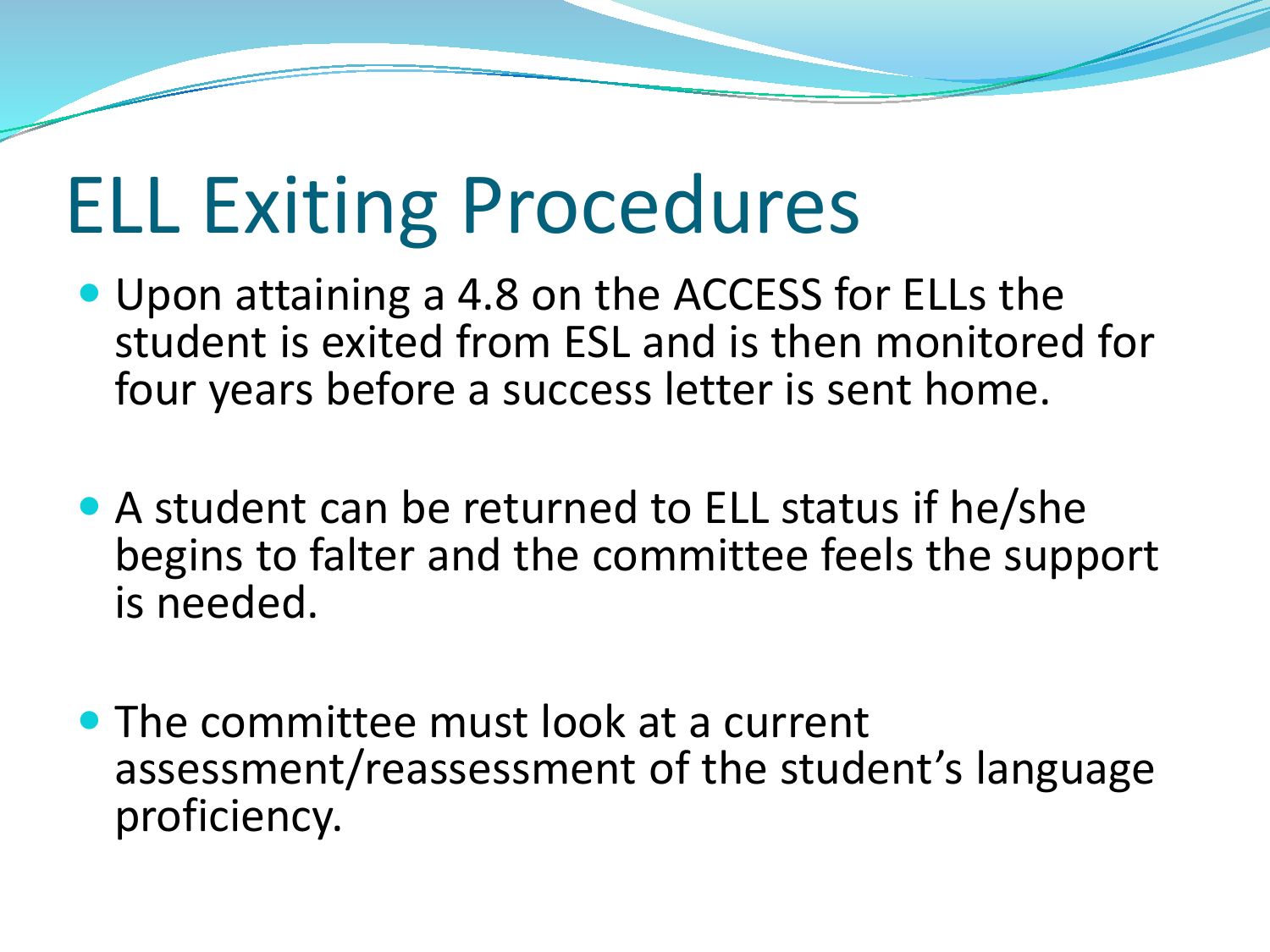## ELL Exiting Procedures

- Upon attaining a 4.8 on the ACCESS for ELLs the student is exited from ESL and is then monitored for four years before a success letter is sent home.
- A student can be returned to ELL status if he/she begins to falter and the committee feels the support is needed.
- The committee must look at a current assessment/reassessment of the student's language proficiency.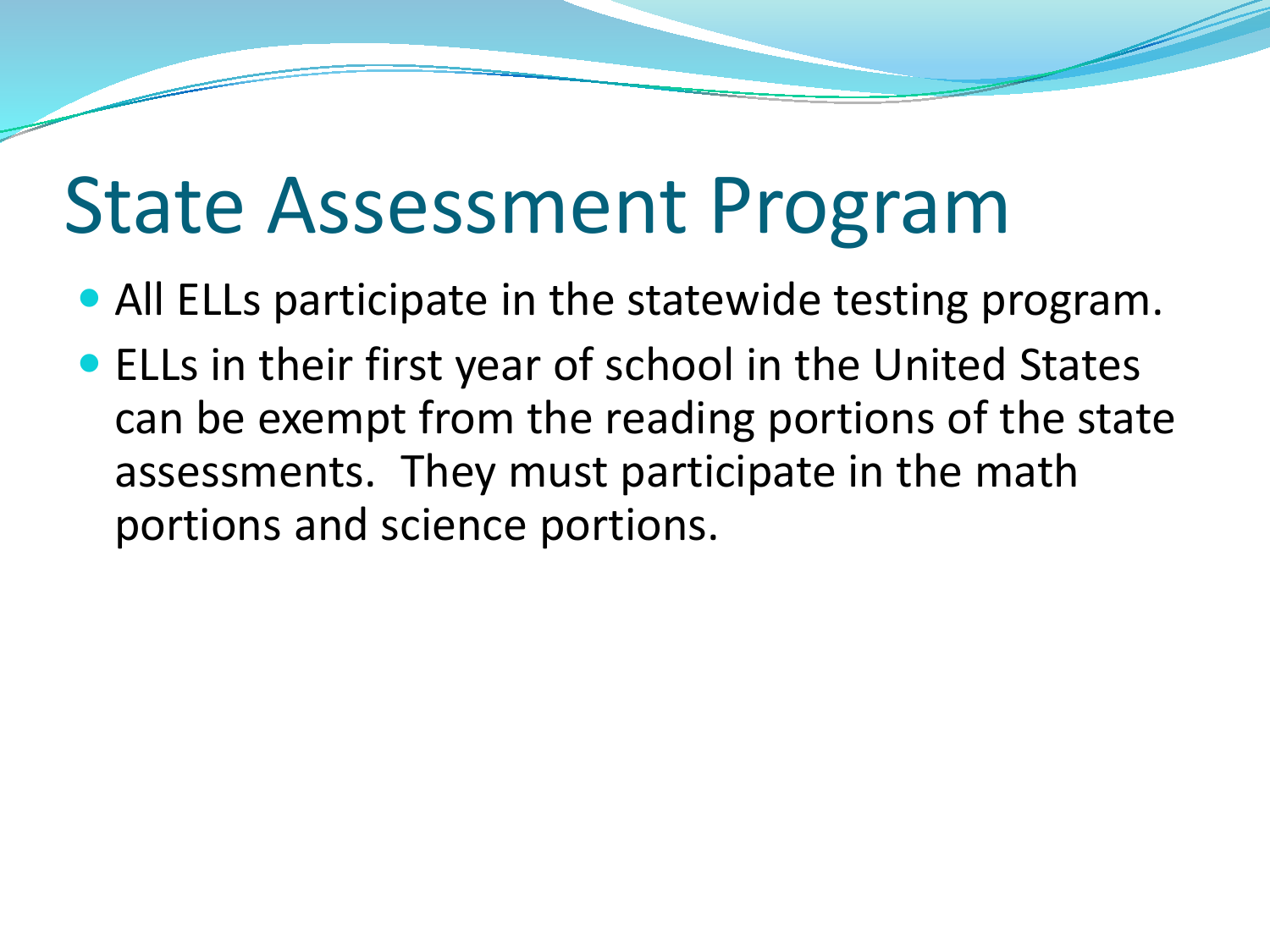### State Assessment Program

- All ELLs participate in the statewide testing program.
- ELLs in their first year of school in the United States can be exempt from the reading portions of the state assessments. They must participate in the math portions and science portions.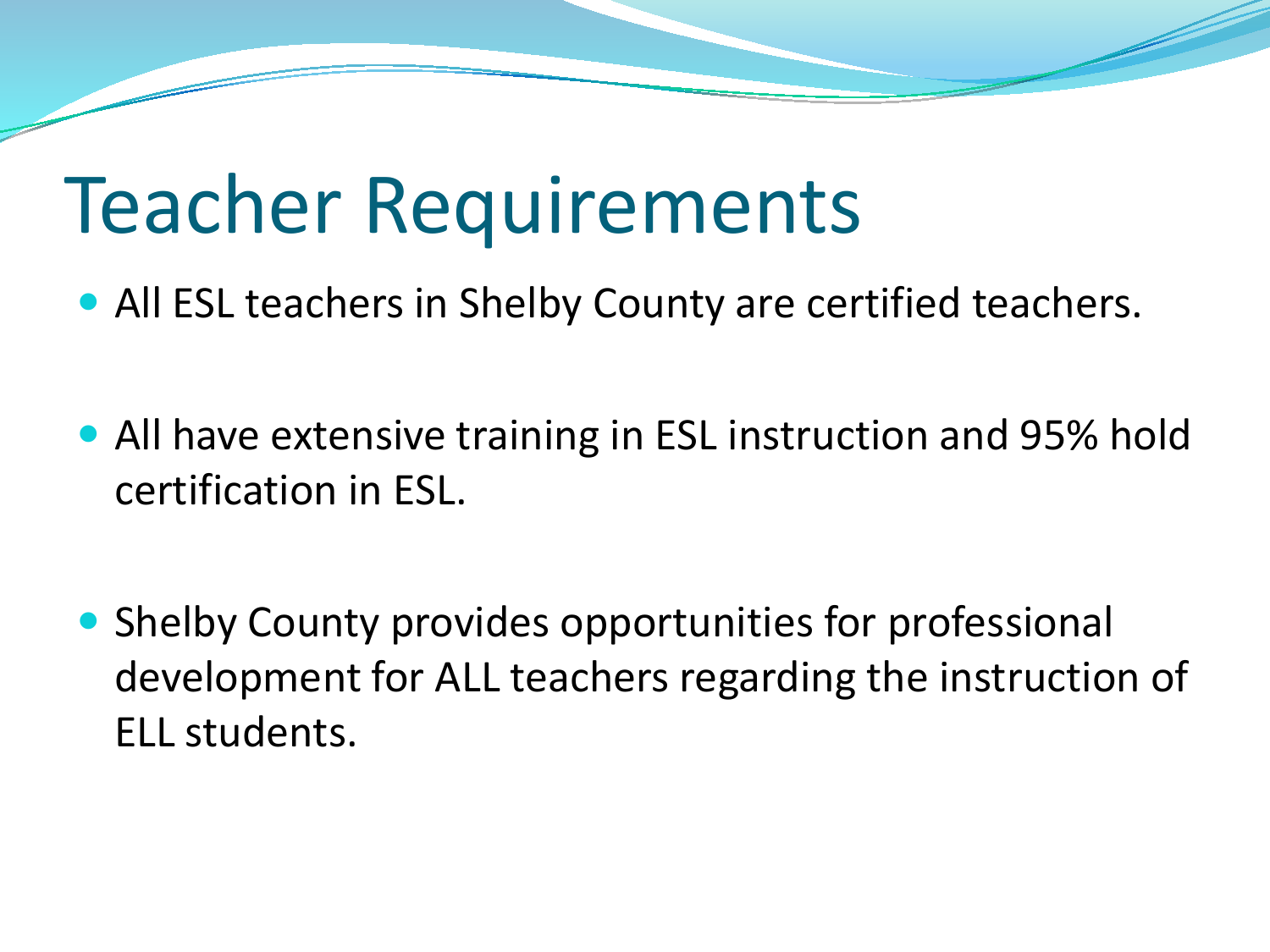#### Teacher Requirements

- All ESL teachers in Shelby County are certified teachers.
- All have extensive training in ESL instruction and 95% hold certification in ESL.
- Shelby County provides opportunities for professional development for ALL teachers regarding the instruction of ELL students.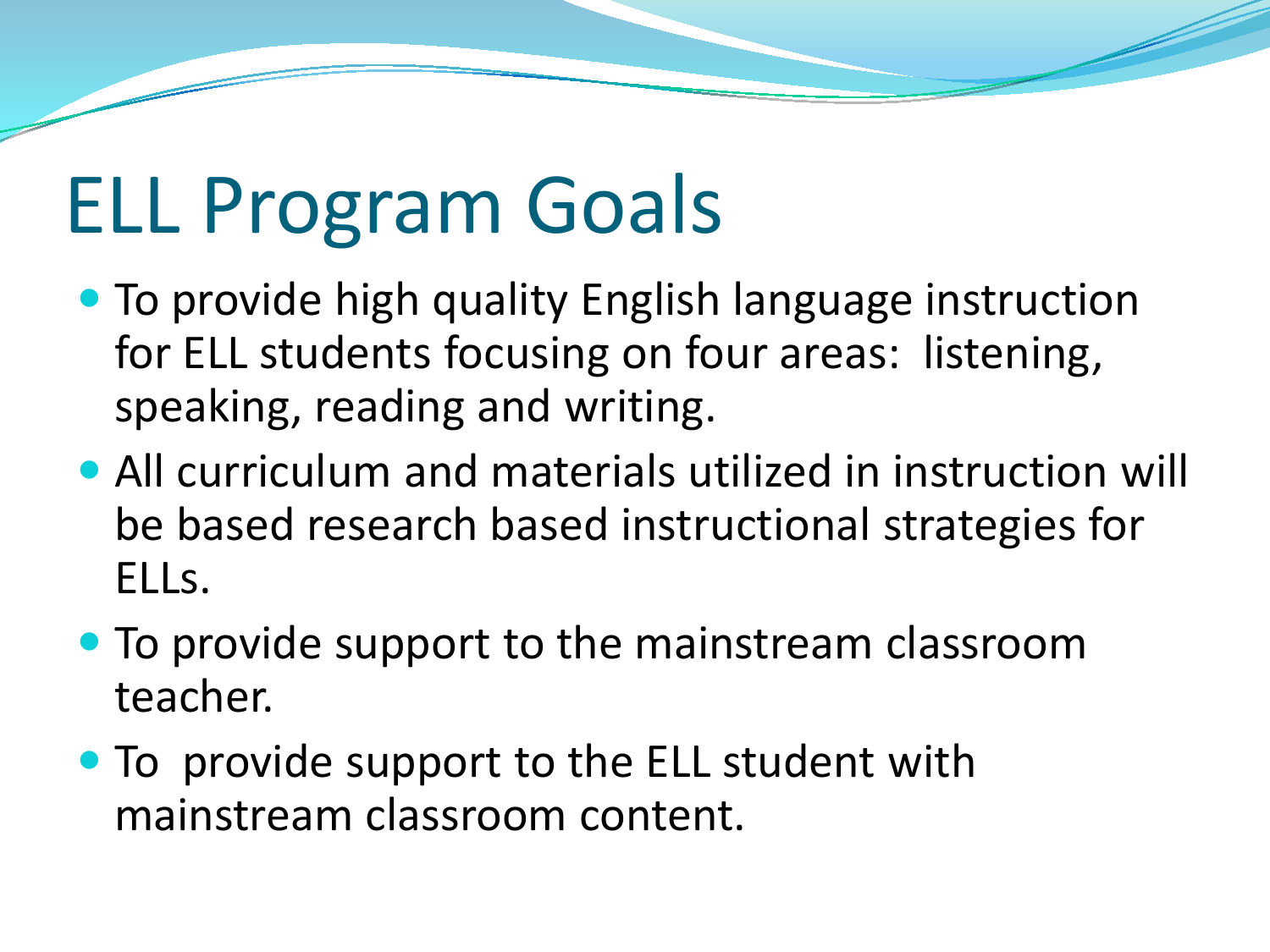# ELL Program Goals

- To provide high quality English language instruction for ELL students focusing on four areas: listening, speaking, reading and writing.
- All curriculum and materials utilized in instruction will be based research based instructional strategies for ELLs.
- To provide support to the mainstream classroom teacher.
- To provide support to the ELL student with mainstream classroom content.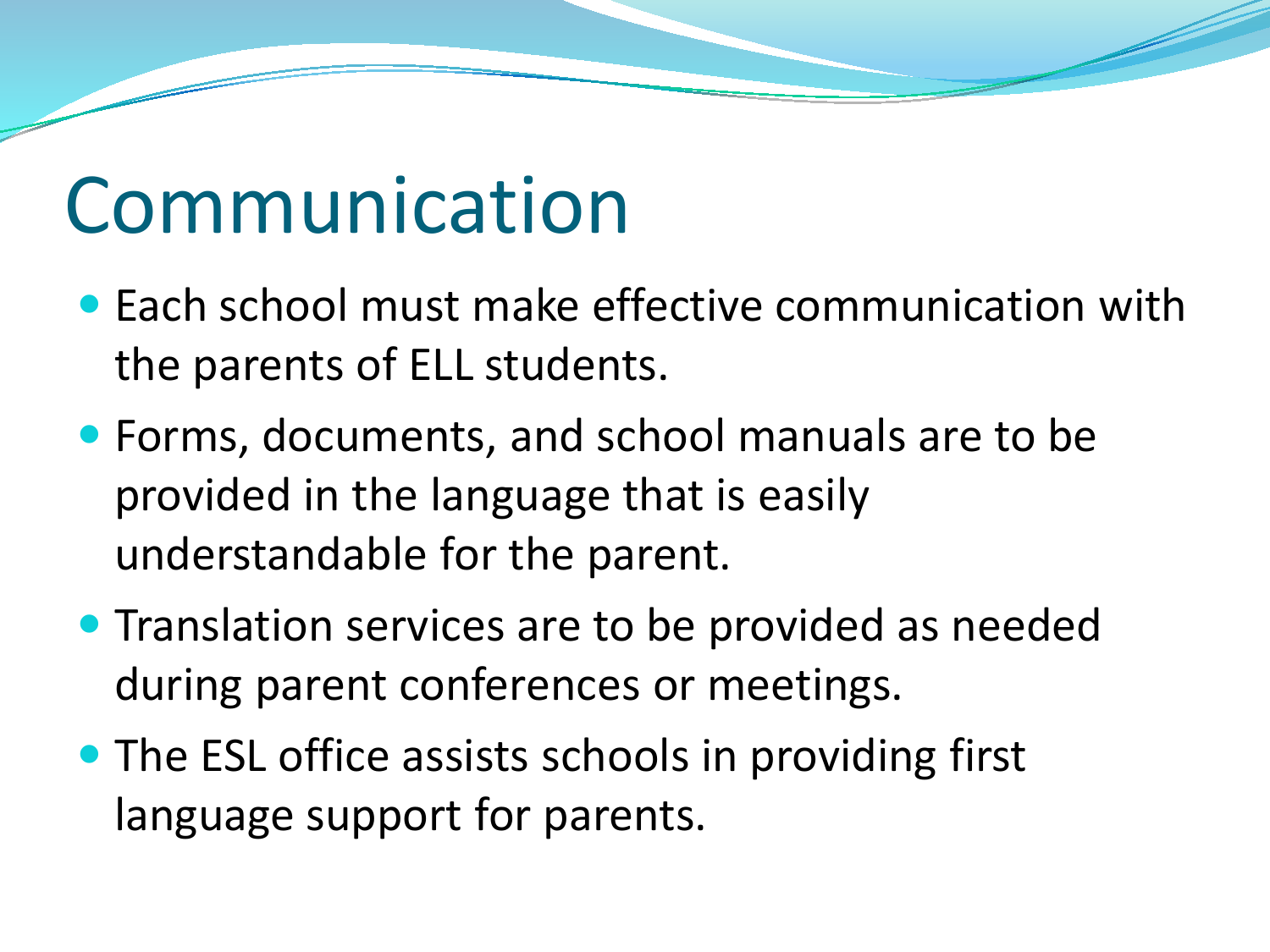#### Communication

- Each school must make effective communication with the parents of ELL students.
- Forms, documents, and school manuals are to be provided in the language that is easily understandable for the parent.
- **Translation services are to be provided as needed** during parent conferences or meetings.
- The ESL office assists schools in providing first language support for parents.